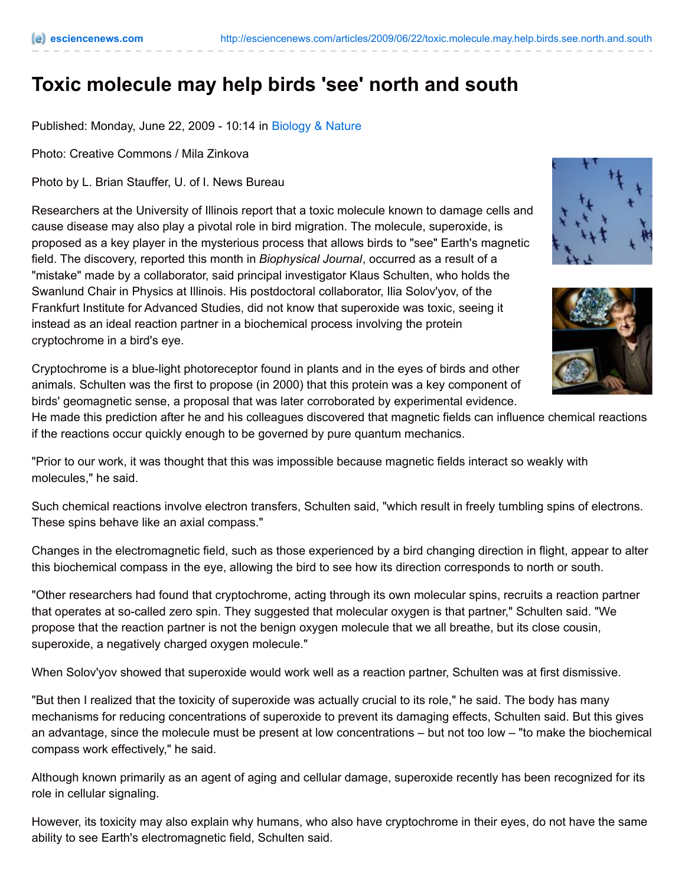## **Toxic molecule may help birds 'see' north and south**

Published: Monday, June 22, 2009 - 10:14 in [Biology](http://esciencenews.com/topics/biology.nature) & Nature

Photo: Creative Commons / Mila Zinkova

Photo by L. Brian Stauffer, U. of I. News Bureau

Researchers at the University of Illinois report that a toxic molecule known to damage cells and cause disease may also play a pivotal role in bird migration. The molecule, superoxide, is proposed as a key player in the mysterious process that allows birds to "see" Earth's magnetic field. The discovery, reported this month in *Biophysical Journal*, occurred as a result of a "mistake" made by a collaborator, said principal investigator Klaus Schulten, who holds the Swanlund Chair in Physics at Illinois. His postdoctoral collaborator, Ilia Solov'yov, of the Frankfurt Institute for Advanced Studies, did not know that superoxide was toxic, seeing it instead as an ideal reaction partner in a biochemical process involving the protein cryptochrome in a bird's eye.





Cryptochrome is a blue-light photoreceptor found in plants and in the eyes of birds and other animals. Schulten was the first to propose (in 2000) that this protein was a key component of birds' geomagnetic sense, a proposal that was later corroborated by experimental evidence.

He made this prediction after he and his colleagues discovered that magnetic fields can influence chemical reactions if the reactions occur quickly enough to be governed by pure quantum mechanics.

"Prior to our work, it was thought that this was impossible because magnetic fields interact so weakly with molecules," he said.

Such chemical reactions involve electron transfers, Schulten said, "which result in freely tumbling spins of electrons. These spins behave like an axial compass."

Changes in the electromagnetic field, such as those experienced by a bird changing direction in flight, appear to alter this biochemical compass in the eye, allowing the bird to see how its direction corresponds to north or south.

"Other researchers had found that cryptochrome, acting through its own molecular spins, recruits a reaction partner that operates at so-called zero spin. They suggested that molecular oxygen is that partner," Schulten said. "We propose that the reaction partner is not the benign oxygen molecule that we all breathe, but its close cousin, superoxide, a negatively charged oxygen molecule."

When Solov'yov showed that superoxide would work well as a reaction partner, Schulten was at first dismissive.

"But then I realized that the toxicity of superoxide was actually crucial to its role," he said. The body has many mechanisms for reducing concentrations of superoxide to prevent its damaging effects, Schulten said. But this gives an advantage, since the molecule must be present at low concentrations – but not too low – "to make the biochemical compass work effectively," he said.

Although known primarily as an agent of aging and cellular damage, superoxide recently has been recognized for its role in cellular signaling.

However, its toxicity may also explain why humans, who also have cryptochrome in their eyes, do not have the same ability to see Earth's electromagnetic field, Schulten said.